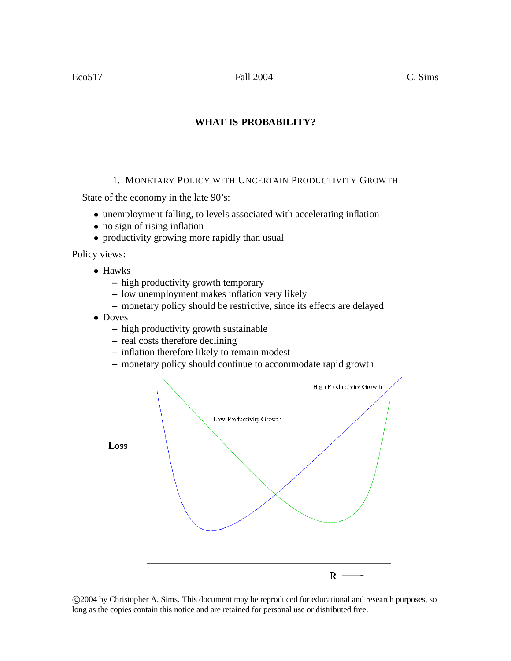1. MONETARY POLICY WITH UNCERTAIN PRODUCTIVITY GROWTH

State of the economy in the late 90's:

- unemployment falling, to levels associated with accelerating inflation
- no sign of rising inflation
- productivity growing more rapidly than usual

Policy views:

- Hawks
	- **–** high productivity growth temporary
	- **–** low unemployment makes inflation very likely
	- **–** monetary policy should be restrictive, since its effects are delayed
- Doves
	- **–** high productivity growth sustainable
	- **–** real costs therefore declining
	- **–** inflation therefore likely to remain modest
	- **–** monetary policy should continue to accommodate rapid growth



 c 2004 by Christopher A. Sims. This document may be reproduced for educational and research purposes, so long as the copies contain this notice and are retained for personal use or distributed free.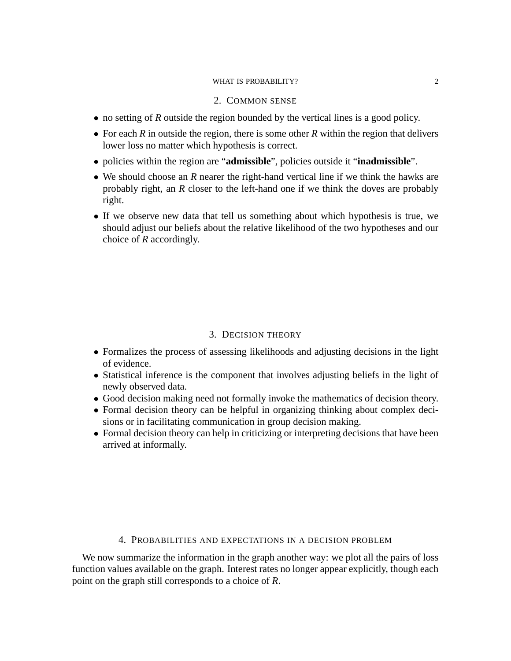### 2. COMMON SENSE

- no setting of *R* outside the region bounded by the vertical lines is a good policy.
- For each *R* in outside the region, there is some other *R* within the region that delivers lower loss no matter which hypothesis is correct.
- policies within the region are "**admissible**", policies outside it "**inadmissible**".
- We should choose an *R* nearer the right-hand vertical line if we think the hawks are probably right, an *R* closer to the left-hand one if we think the doves are probably right.
- If we observe new data that tell us something about which hypothesis is true, we should adjust our beliefs about the relative likelihood of the two hypotheses and our choice of *R* accordingly.

#### 3. DECISION THEORY

- Formalizes the process of assessing likelihoods and adjusting decisions in the light of evidence.
- Statistical inference is the component that involves adjusting beliefs in the light of newly observed data.
- Good decision making need not formally invoke the mathematics of decision theory.
- Formal decision theory can be helpful in organizing thinking about complex decisions or in facilitating communication in group decision making.
- Formal decision theory can help in criticizing or interpreting decisions that have been arrived at informally.

### 4. PROBABILITIES AND EXPECTATIONS IN A DECISION PROBLEM

We now summarize the information in the graph another way: we plot all the pairs of loss function values available on the graph. Interest rates no longer appear explicitly, though each point on the graph still corresponds to a choice of *R*.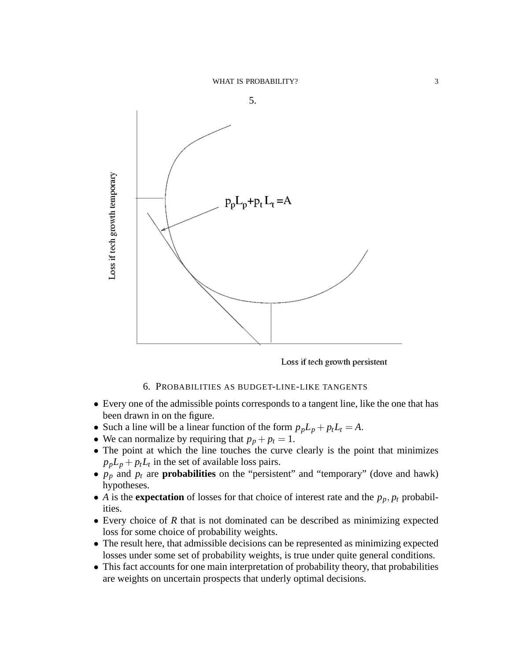

Loss if tech growth persistent

### 6. PROBABILITIES AS BUDGET-LINE-LIKE TANGENTS

- Every one of the admissible points corresponds to a tangent line, like the one that has been drawn in on the figure.
- Such a line will be a linear function of the form  $p_p L_p + p_t L_t = A$ .
- We can normalize by requiring that  $p_p + p_t = 1$ .
- The point at which the line touches the curve clearly is the point that minimizes  $p_p L_p + p_t L_t$  in the set of available loss pairs.
- $p_p$  and  $p_t$  are **probabilities** on the "persistent" and "temporary" (dove and hawk) hypotheses.
- *A* is the **expectation** of losses for that choice of interest rate and the  $p_p$ ,  $p_t$  probabilities.
- Every choice of *R* that is not dominated can be described as minimizing expected loss for some choice of probability weights.
- The result here, that admissible decisions can be represented as minimizing expected losses under some set of probability weights, is true under quite general conditions.
- This fact accounts for one main interpretation of probability theory, that probabilities are weights on uncertain prospects that underly optimal decisions.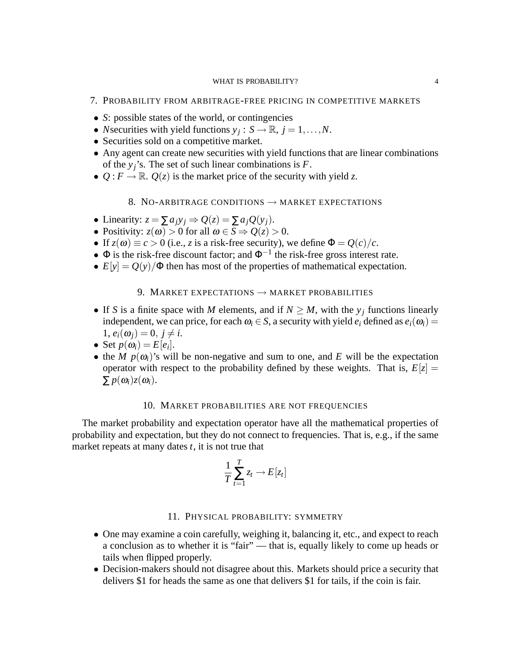- 7. PROBABILITY FROM ARBITRAGE-FREE PRICING IN COMPETITIVE MARKETS
- *S*: possible states of the world, or contingencies
- *N*securities with yield functions  $y_j : S \to \mathbb{R}, j = 1, ..., N$ .
- Securities sold on a competitive market.
- Any agent can create new securities with yield functions that are linear combinations of the  $y_j$ 's. The set of such linear combinations is  $F$ .
- $Q: F \to \mathbb{R}$ .  $Q(z)$  is the market price of the security with yield *z*.

## 8. NO-ARBITRAGE CONDITIONS  $\rightarrow$  MARKET EXPECTATIONS

- Linearity:  $z = \sum a_i y_i \Rightarrow Q(z) = \sum a_i Q(y_i)$ .
- Positivity:  $z(\omega) > 0$  for all  $\omega \in S \Rightarrow Q(z) > 0$ .
- If  $z(\omega) \equiv c > 0$  (i.e., *z* is a risk-free security), we define  $\Phi = Q(c)/c$ .
- $\Phi$  is the risk-free discount factor; and  $\Phi^{-1}$  the risk-free gross interest rate.
- $E[y] = Q(y)/\Phi$  then has most of the properties of mathematical expectation.

## 9. MARKET EXPECTATIONS  $\rightarrow$  MARKET PROBABILITIES

- If *S* is a finite space with *M* elements, and if  $N \ge M$ , with the  $y_j$  functions linearly independent, we can price, for each  $\omega_i \in S$ , a security with yield  $e_i$  defined as  $e_i(\omega_i)$  =  $1, e_i(\omega_i) = 0, i \neq i.$
- Set  $p(\omega_i) = E[e_i]$ .
- the *M*  $p(\omega_i)$ 's will be non-negative and sum to one, and *E* will be the expectation operator with respect to the probability defined by these weights. That is,  $E[z] =$  $\sum p(\omega_i)z(\omega_i).$

#### 10. MARKET PROBABILITIES ARE NOT FREQUENCIES

The market probability and expectation operator have all the mathematical properties of probability and expectation, but they do not connect to frequencies. That is, e.g., if the same market repeats at many dates *t*, it is not true that

$$
\frac{1}{T}\sum_{t=1}^T z_t \to E[z_t]
$$

### 11. PHYSICAL PROBABILITY: SYMMETRY

- One may examine a coin carefully, weighing it, balancing it, etc., and expect to reach a conclusion as to whether it is "fair" — that is, equally likely to come up heads or tails when flipped properly.
- Decision-makers should not disagree about this. Markets should price a security that delivers \$1 for heads the same as one that delivers \$1 for tails, if the coin is fair.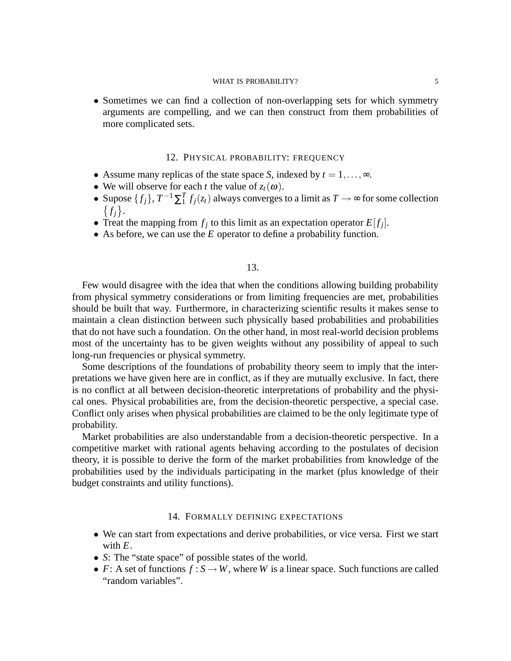• Sometimes we can find a collection of non-overlapping sets for which symmetry arguments are compelling, and we can then construct from them probabilities of more complicated sets.

### 12. PHYSICAL PROBABILITY: FREQUENCY

- Assume many replicas of the state space *S*, indexed by  $t = 1, \ldots, \infty$ .
- We will observe for each *t* the value of  $z_t(\omega)$ .
- Supose  $\{f_j\}$ ,  $T^{-1}\sum_{i=1}^{T}f_j(z_t)$  always converges to a limit as  $T \to \infty$  for some collection  $\{f_j\}.$
- Treat the mapping from  $f_j$  to this limit as an expectation operator  $E[f_j]$ .
- As before, we can use the *E* operator to define a probability function.

#### 13.

Few would disagree with the idea that when the conditions allowing building probability from physical symmetry considerations or from limiting frequencies are met, probabilities should be built that way. Furthermore, in characterizing scientific results it makes sense to maintain a clean distinction between such physically based probabilities and probabilities that do not have such a foundation. On the other hand, in most real-world decision problems most of the uncertainty has to be given weights without any possibility of appeal to such long-run frequencies or physical symmetry.

Some descriptions of the foundations of probability theory seem to imply that the interpretations we have given here are in conflict, as if they are mutually exclusive. In fact, there is no conflict at all between decision-theoretic interpretations of probability and the physical ones. Physical probabilities are, from the decision-theoretic perspective, a special case. Conflict only arises when physical probabilities are claimed to be the only legitimate type of probability.

Market probabilities are also understandable from a decision-theoretic perspective. In a competitive market with rational agents behaving according to the postulates of decision theory, it is possible to derive the form of the market probabilities from knowledge of the probabilities used by the individuals participating in the market (plus knowledge of their budget constraints and utility functions).

#### 14. FORMALLY DEFINING EXPECTATIONS

- We can start from expectations and derive probabilities, or vice versa. First we start with *E*.
- *S*: The "state space" of possible states of the world.
- *F*: A set of functions  $f : S \to W$ , where *W* is a linear space. Such functions are called "random variables".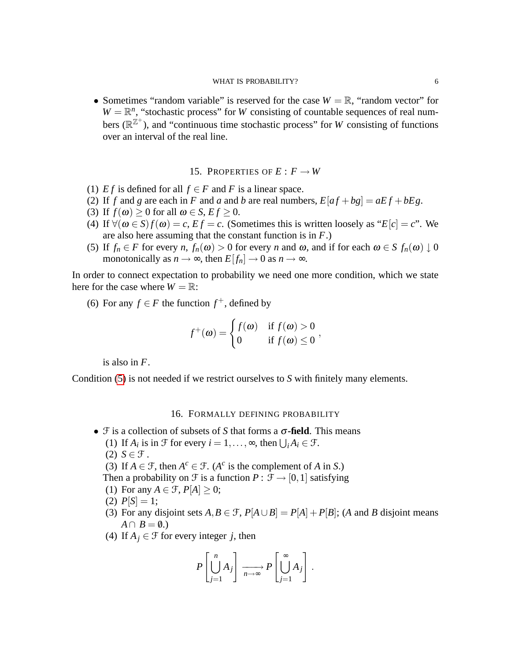• Sometimes "random variable" is reserved for the case  $W = \mathbb{R}$ , "random vector" for  $W = \mathbb{R}^n$ , "stochastic process" for *W* consisting of countable sequences of real numbers  $(\mathbb{R}^{\mathbb{Z}^+})$ , and "continuous time stochastic process" for *W* consisting of functions over an interval of the real line.

## 15. PROPERTIES OF  $E: F \to W$

- (1) *Ef* is defined for all  $f \in F$  and *F* is a linear space.
- (2) If *f* and *g* are each in *F* and *a* and *b* are real numbers,  $E[af+bg] = aEf + b Eg$ .
- (3) If  $f(\omega) \ge 0$  for all  $\omega \in S$ ,  $Ef \ge 0$ .
- (4) If  $\forall (\omega \in S) f(\omega) = c$ ,  $Ef = c$ . (Sometimes this is written loosely as " $E[c] = c$ ". We are also here assuming that the constant function is in *F*.)
- <span id="page-5-0"></span>(5) If  $f_n \in F$  for every  $n, f_n(\omega) > 0$  for every  $n$  and  $\omega$ , and if for each  $\omega \in S$   $f_n(\omega) \downarrow 0$ monotonically as  $n \to \infty$ , then  $E[f_n] \to 0$  as  $n \to \infty$ .

In order to connect expectation to probability we need one more condition, which we state here for the case where  $W = \mathbb{R}$ :

(6) For any  $f \in F$  the function  $f^+$ , defined by

$$
f^+(\omega) = \begin{cases} f(\omega) & \text{if } f(\omega) > 0 \\ 0 & \text{if } f(\omega) \le 0 \end{cases}
$$

is also in *F*.

Condition [\(5\)](#page-5-0) is not needed if we restrict ourselves to *S* with finitely many elements.

## 16. FORMALLY DEFINING PROBABILITY

- $\mathcal F$  is a collection of subsets of *S* that forms a  $\sigma$ -field. This means
	- (1) If  $A_i$  is in  $\mathcal{F}$  for every  $i = 1, ..., \infty$ , then  $\bigcup_i A_i \in \mathcal{F}$ .
	- $(2)$  *S*  $\in$  *F*.
	- (3) If  $A \in \mathcal{F}$ , then  $A^c \in \mathcal{F}$ . ( $A^c$  is the complement of *A* in *S*.)
	- Then a probability on  $\mathcal F$  is a function  $P : \mathcal F \to [0,1]$  satisfying
	- (1) For any  $A \in \mathcal{F}$ ,  $P[A] \geq 0$ ;
	- (2)  $P[S] = 1;$
	- (3) For any disjoint sets  $A, B \in \mathcal{F}$ ,  $P[A \cup B] = P[A] + P[B]$ ; (*A* and *B* disjoint means  $A \cap B = \emptyset.$
	- (4) If  $A_i \in \mathcal{F}$  for every integer *j*, then

$$
P\left[\bigcup_{j=1}^n A_j\right] \xrightarrow[n \to \infty]{} P\left[\bigcup_{j=1}^\infty A_j\right].
$$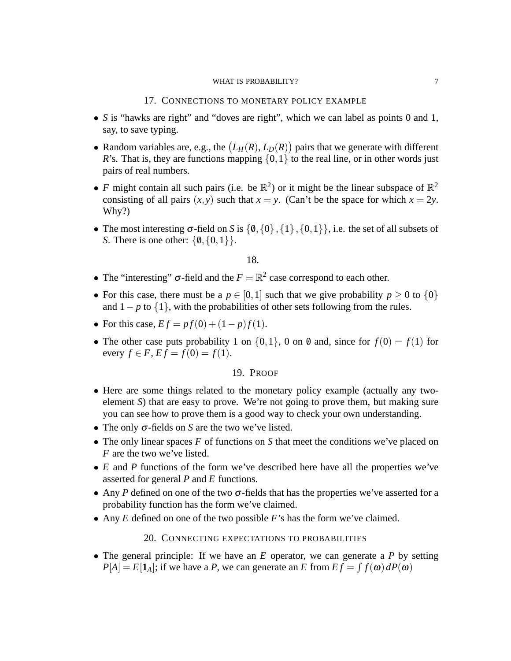### 17. CONNECTIONS TO MONETARY POLICY EXAMPLE

- *S* is "hawks are right" and "doves are right", which we can label as points 0 and 1, say, to save typing.
- Random variables are, e.g., the  $(L_H(R), L_D(R))$  pairs that we generate with different *R*'s. That is, they are functions mapping  $\{0,1\}$  to the real line, or in other words just pairs of real numbers.
- *F* might contain all such pairs (i.e. be  $\mathbb{R}^2$ ) or it might be the linear subspace of  $\mathbb{R}^2$ consisting of all pairs  $(x, y)$  such that  $x = y$ . (Can't be the space for which  $x = 2y$ . Why?)
- The most interesting  $\sigma$ -field on *S* is  $\{0, \{0\}, \{1\}, \{0,1\}\}\$ , i.e. the set of all subsets of *S*. There is one other:  $\{0, \{0,1\}\}.$

## 18.

- The "interesting"  $\sigma$ -field and the  $F = \mathbb{R}^2$  case correspond to each other.
- For this case, there must be a  $p \in [0,1]$  such that we give probability  $p \ge 0$  to  $\{0\}$ and  $1-p$  to  $\{1\}$ , with the probabilities of other sets following from the rules.
- For this case,  $Ef = pf(0) + (1 p)f(1)$ .
- The other case puts probability 1 on  $\{0,1\}$ , 0 on 0 and, since for  $f(0) = f(1)$  for every  $f \in F$ ,  $Ef = f(0) = f(1)$ .

#### 19. PROOF

- Here are some things related to the monetary policy example (actually any twoelement *S*) that are easy to prove. We're not going to prove them, but making sure you can see how to prove them is a good way to check your own understanding.
- The only σ-fields on *S* are the two we've listed.
- The only linear spaces *F* of functions on *S* that meet the conditions we've placed on *F* are the two we've listed.
- *E* and *P* functions of the form we've described here have all the properties we've asserted for general *P* and *E* functions.
- Any *P* defined on one of the two  $\sigma$ -fields that has the properties we've asserted for a probability function has the form we've claimed.
- Any *E* defined on one of the two possible *F*'s has the form we've claimed.

## 20. CONNECTING EXPECTATIONS TO PROBABILITIES

• The general principle: If we have an *E* operator, we can generate a *P* by setting  $P[A] = E[\mathbf{1}_A]$ ; if we have a *P*, we can generate an *E* from  $Ef = \int f(\omega) dP(\omega)$